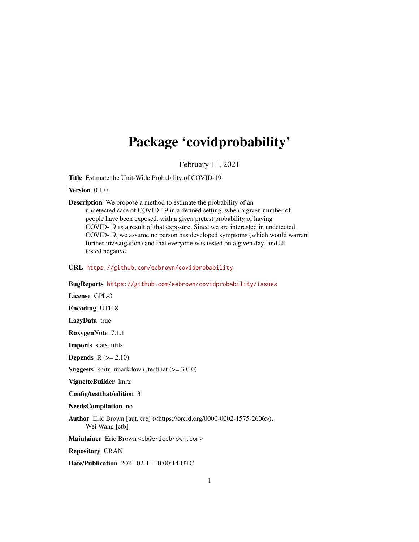## Package 'covidprobability'

February 11, 2021

Title Estimate the Unit-Wide Probability of COVID-19

Version 0.1.0

Description We propose a method to estimate the probability of an undetected case of COVID-19 in a defined setting, when a given number of people have been exposed, with a given pretest probability of having COVID-19 as a result of that exposure. Since we are interested in undetected COVID-19, we assume no person has developed symptoms (which would warrant further investigation) and that everyone was tested on a given day, and all tested negative.

#### URL <https://github.com/eebrown/covidprobability>

BugReports <https://github.com/eebrown/covidprobability/issues>

License GPL-3 Encoding UTF-8 LazyData true RoxygenNote 7.1.1 Imports stats, utils **Depends**  $R (= 2.10)$ **Suggests** knitr, rmarkdown, test that  $(>= 3.0.0)$ VignetteBuilder knitr Config/testthat/edition 3 NeedsCompilation no Author Eric Brown [aut, cre] (<https://orcid.org/0000-0002-1575-2606>), Wei Wang [ctb] Maintainer Eric Brown <eb@ericebrown.com> Repository CRAN Date/Publication 2021-02-11 10:00:14 UTC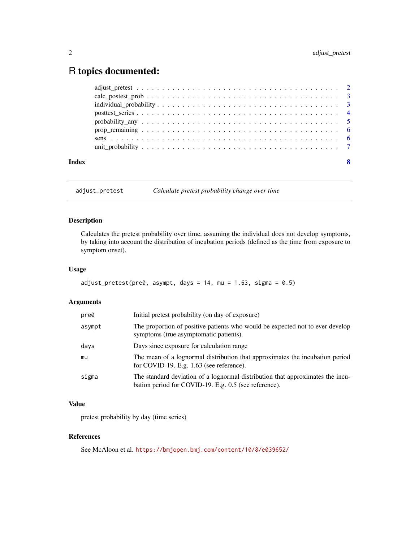### <span id="page-1-0"></span>R topics documented:

adjust\_pretest *Calculate pretest probability change over time*

#### Description

Calculates the pretest probability over time, assuming the individual does not develop symptoms, by taking into account the distribution of incubation periods (defined as the time from exposure to symptom onset).

#### Usage

```
adjust_Tretest(pre0, asympt, days = 14, mu = 1.63, sigma = 0.5)
```
#### Arguments

| pre0   | Initial pretest probability (on day of exposure)                                                                                        |
|--------|-----------------------------------------------------------------------------------------------------------------------------------------|
| asympt | The proportion of positive patients who would be expected not to ever develop<br>symptoms (true asymptomatic patients).                 |
| days   | Days since exposure for calculation range                                                                                               |
| mu     | The mean of a lognormal distribution that approximates the incubation period<br>for COVID-19. E.g. 1.63 (see reference).                |
| sigma  | The standard deviation of a lognormal distribution that approximates the incu-<br>bation period for COVID-19. E.g. 0.5 (see reference). |

#### Value

pretest probability by day (time series)

#### References

See McAloon et al. <https://bmjopen.bmj.com/content/10/8/e039652/>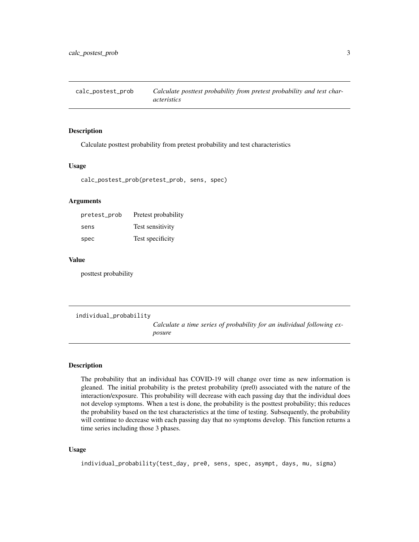<span id="page-2-0"></span>calc\_postest\_prob *Calculate posttest probability from pretest probability and test characteristics*

#### Description

Calculate posttest probability from pretest probability and test characteristics

#### Usage

calc\_postest\_prob(pretest\_prob, sens, spec)

#### Arguments

| pretest_prob | Pretest probability |
|--------------|---------------------|
| sens         | Test sensitivity    |
| spec         | Test specificity    |

#### Value

posttest probability

```
individual_probability
```
*Calculate a time series of probability for an individual following exposure*

#### Description

The probability that an individual has COVID-19 will change over time as new information is gleaned. The initial probability is the pretest probability (pre0) associated with the nature of the interaction/exposure. This probability will decrease with each passing day that the individual does not develop symptoms. When a test is done, the probability is the posttest probability; this reduces the probability based on the test characteristics at the time of testing. Subsequently, the probability will continue to decrease with each passing day that no symptoms develop. This function returns a time series including those 3 phases.

#### Usage

```
individual_probability(test_day, pre0, sens, spec, asympt, days, mu, sigma)
```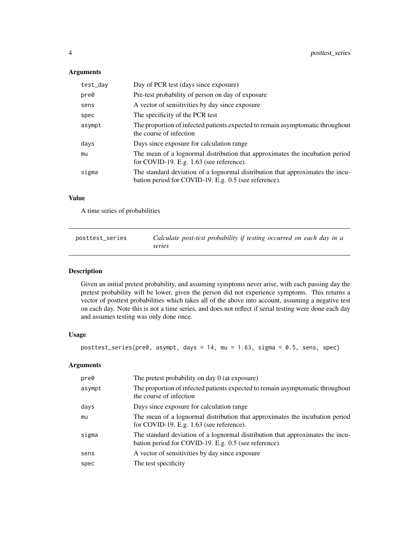#### <span id="page-3-0"></span>Arguments

| test_day | Day of PCR test (days since exposure)                                                                                                   |
|----------|-----------------------------------------------------------------------------------------------------------------------------------------|
| pre0     | Pre-test probability of person on day of exposure                                                                                       |
| sens     | A vector of sensitivities by day since exposure                                                                                         |
| spec     | The specificity of the PCR test                                                                                                         |
| asympt   | The proportion of infected patients expected to remain asymptomatic throughout<br>the course of infection                               |
| days     | Days since exposure for calculation range                                                                                               |
| mu       | The mean of a lognormal distribution that approximates the incubation period<br>for COVID-19. E.g. $1.63$ (see reference).              |
| sigma    | The standard deviation of a lognormal distribution that approximates the incu-<br>bation period for COVID-19. E.g. 0.5 (see reference). |

#### Value

A time series of probabilities

| posttest_series | Calculate post-test probability if testing occurred on each day in a |
|-----------------|----------------------------------------------------------------------|
|                 | series                                                               |

#### Description

Given an initial pretest probability, and assuming symptoms never arise, with each passing day the pretest probability will be lower, given the person did not experience symptoms. This returns a vector of posttest probabilities which takes all of the above into account, assuming a negative test on each day. Note this is not a time series, and does not reflect if serial testing were done each day and assumes testing was only done once.

#### Usage

```
posttest_series(pre0, asympt, days = 14, mu = 1.63, sigma = 0.5, sens, spec)
```
#### Arguments

| pre0   | The pretest probability on day 0 (at exposure)                                                                                          |
|--------|-----------------------------------------------------------------------------------------------------------------------------------------|
| asympt | The proportion of infected patients expected to remain asymptomatic throughout<br>the course of infection                               |
| days   | Days since exposure for calculation range                                                                                               |
| mu     | The mean of a lognormal distribution that approximates the incubation period<br>for COVID-19. E.g. 1.63 (see reference).                |
| sigma  | The standard deviation of a lognormal distribution that approximates the incu-<br>bation period for COVID-19. E.g. 0.5 (see reference). |
| sens   | A vector of sensitivities by day since exposure                                                                                         |
| spec   | The test specificity                                                                                                                    |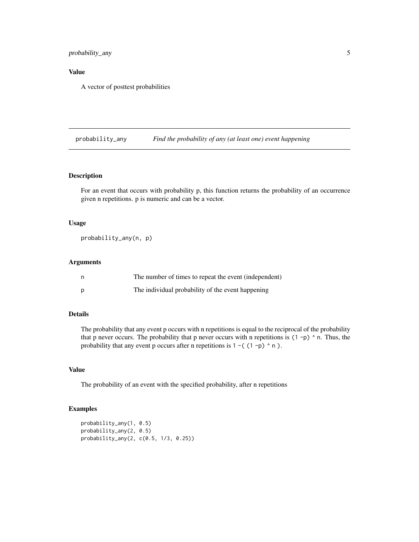<span id="page-4-0"></span>probability\_any 5

#### Value

A vector of posttest probabilities

probability\_any *Find the probability of any (at least one) event happening*

#### Description

For an event that occurs with probability p, this function returns the probability of an occurrence given n repetitions. p is numeric and can be a vector.

#### Usage

probability\_any(n, p)

#### Arguments

| n | The number of times to repeat the event (independent) |
|---|-------------------------------------------------------|
| D | The individual probability of the event happening     |

#### Details

The probability that any event p occurs with n repetitions is equal to the reciprocal of the probability that p never occurs. The probability that p never occurs with n repetitions is  $(1-p)$   $\wedge$  n. Thus, the probability that any event p occurs after n repetitions is  $1 - (1-p)^n n$ .

#### Value

The probability of an event with the specified probability, after n repetitions

#### Examples

```
probability_any(1, 0.5)
probability_any(2, 0.5)
probability_any(2, c(0.5, 1/3, 0.25))
```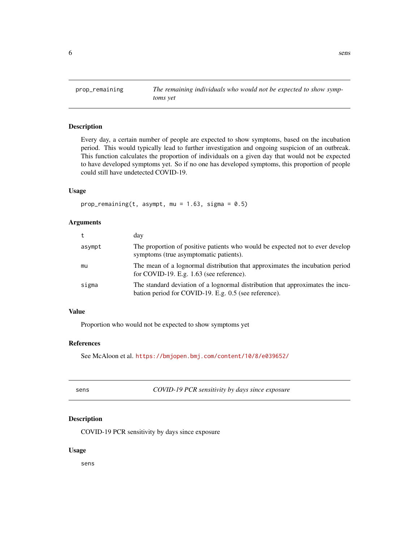<span id="page-5-0"></span>

#### Description

Every day, a certain number of people are expected to show symptoms, based on the incubation period. This would typically lead to further investigation and ongoing suspicion of an outbreak. This function calculates the proportion of individuals on a given day that would not be expected to have developed symptoms yet. So if no one has developed symptoms, this proportion of people could still have undetected COVID-19.

#### Usage

```
prop_remaining(t, asympt, mu = 1.63, sigma = 0.5)
```
#### Arguments

| t      | day                                                                                                                                     |
|--------|-----------------------------------------------------------------------------------------------------------------------------------------|
| asympt | The proportion of positive patients who would be expected not to ever develop<br>symptoms (true asymptomatic patients).                 |
| mu     | The mean of a lognormal distribution that approximates the incubation period<br>for COVID-19. E.g. $1.63$ (see reference).              |
| sigma  | The standard deviation of a lognormal distribution that approximates the incu-<br>bation period for COVID-19. E.g. 0.5 (see reference). |

#### Value

Proportion who would not be expected to show symptoms yet

#### References

See McAloon et al. <https://bmjopen.bmj.com/content/10/8/e039652/>

| I<br>۰.<br>w | ۰.<br>×<br>۰. | ×<br>I |
|--------------|---------------|--------|
|              |               |        |

sens *COVID-19 PCR sensitivity by days since exposure*

#### Description

COVID-19 PCR sensitivity by days since exposure

#### Usage

sens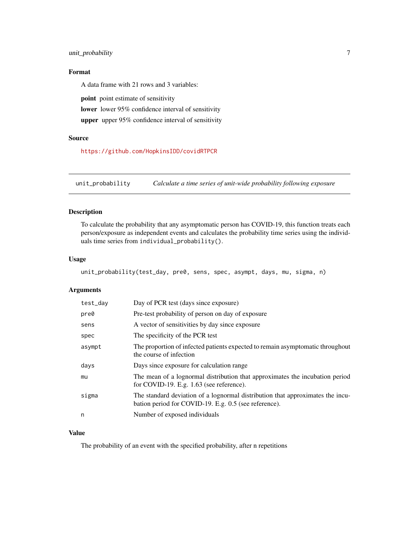#### <span id="page-6-0"></span>unit\_probability 7

#### Format

A data frame with 21 rows and 3 variables:

point point estimate of sensitivity

lower lower 95% confidence interval of sensitivity

upper upper 95% confidence interval of sensitivity

#### Source

<https://github.com/HopkinsIDD/covidRTPCR>

unit\_probability *Calculate a time series of unit-wide probability following exposure*

#### Description

To calculate the probability that any asymptomatic person has COVID-19, this function treats each person/exposure as independent events and calculates the probability time series using the individuals time series from individual\_probability().

#### Usage

unit\_probability(test\_day, pre0, sens, spec, asympt, days, mu, sigma, n)

#### Arguments

| test_day | Day of PCR test (days since exposure)                                                                                                   |
|----------|-----------------------------------------------------------------------------------------------------------------------------------------|
| pre0     | Pre-test probability of person on day of exposure                                                                                       |
| sens     | A vector of sensitivities by day since exposure                                                                                         |
| spec     | The specificity of the PCR test                                                                                                         |
| asympt   | The proportion of infected patients expected to remain asymptomatic throughout<br>the course of infection                               |
| days     | Days since exposure for calculation range                                                                                               |
| mu       | The mean of a lognormal distribution that approximates the incubation period<br>for COVID-19. E.g. 1.63 (see reference).                |
| sigma    | The standard deviation of a lognormal distribution that approximates the incu-<br>bation period for COVID-19. E.g. 0.5 (see reference). |
| n        | Number of exposed individuals                                                                                                           |
|          |                                                                                                                                         |

#### Value

The probability of an event with the specified probability, after n repetitions